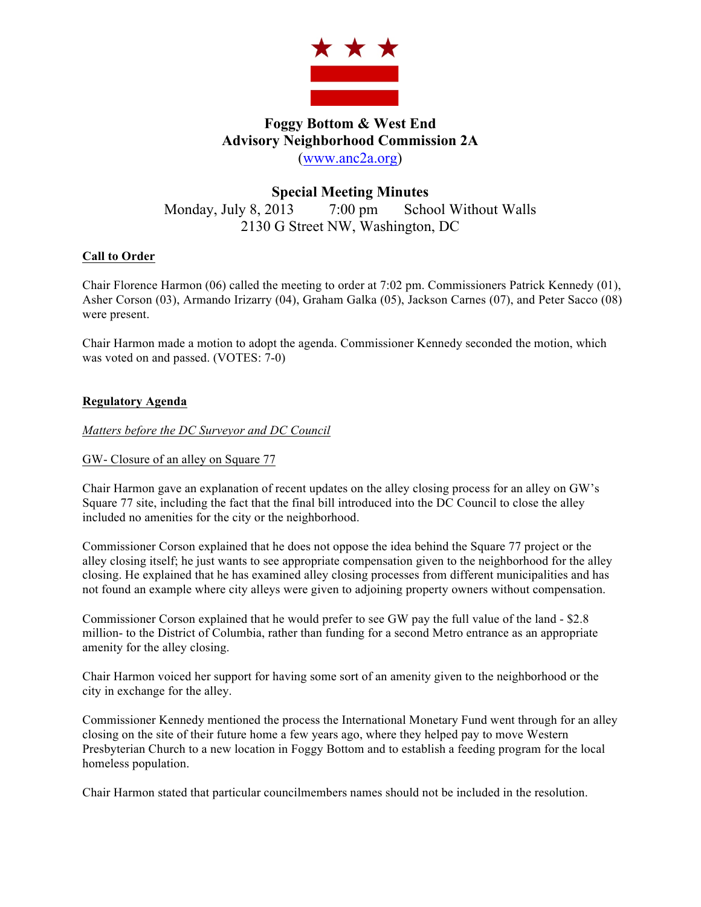

# **Foggy Bottom & West End Advisory Neighborhood Commission 2A** (www.anc2a.org)

## **Special Meeting Minutes** Monday, July 8, 2013 7:00 pm School Without Walls 2130 G Street NW, Washington, DC

## **Call to Order**

Chair Florence Harmon (06) called the meeting to order at 7:02 pm. Commissioners Patrick Kennedy (01), Asher Corson (03), Armando Irizarry (04), Graham Galka (05), Jackson Carnes (07), and Peter Sacco (08) were present.

Chair Harmon made a motion to adopt the agenda. Commissioner Kennedy seconded the motion, which was voted on and passed. (VOTES: 7-0)

### **Regulatory Agenda**

*Matters before the DC Surveyor and DC Council*

### GW- Closure of an alley on Square 77

Chair Harmon gave an explanation of recent updates on the alley closing process for an alley on GW's Square 77 site, including the fact that the final bill introduced into the DC Council to close the alley included no amenities for the city or the neighborhood.

Commissioner Corson explained that he does not oppose the idea behind the Square 77 project or the alley closing itself; he just wants to see appropriate compensation given to the neighborhood for the alley closing. He explained that he has examined alley closing processes from different municipalities and has not found an example where city alleys were given to adjoining property owners without compensation.

Commissioner Corson explained that he would prefer to see GW pay the full value of the land - \$2.8 million- to the District of Columbia, rather than funding for a second Metro entrance as an appropriate amenity for the alley closing.

Chair Harmon voiced her support for having some sort of an amenity given to the neighborhood or the city in exchange for the alley.

Commissioner Kennedy mentioned the process the International Monetary Fund went through for an alley closing on the site of their future home a few years ago, where they helped pay to move Western Presbyterian Church to a new location in Foggy Bottom and to establish a feeding program for the local homeless population.

Chair Harmon stated that particular councilmembers names should not be included in the resolution.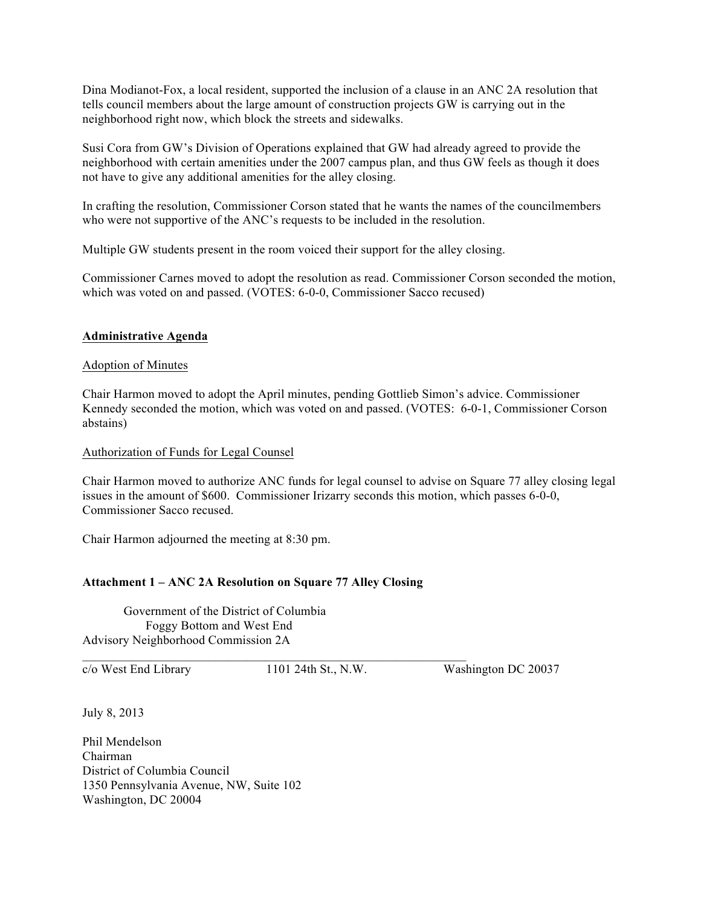Dina Modianot-Fox, a local resident, supported the inclusion of a clause in an ANC 2A resolution that tells council members about the large amount of construction projects GW is carrying out in the neighborhood right now, which block the streets and sidewalks.

Susi Cora from GW's Division of Operations explained that GW had already agreed to provide the neighborhood with certain amenities under the 2007 campus plan, and thus GW feels as though it does not have to give any additional amenities for the alley closing.

In crafting the resolution, Commissioner Corson stated that he wants the names of the councilmembers who were not supportive of the ANC's requests to be included in the resolution.

Multiple GW students present in the room voiced their support for the alley closing.

Commissioner Carnes moved to adopt the resolution as read. Commissioner Corson seconded the motion, which was voted on and passed. (VOTES: 6-0-0, Commissioner Sacco recused)

#### **Administrative Agenda**

#### Adoption of Minutes

Chair Harmon moved to adopt the April minutes, pending Gottlieb Simon's advice. Commissioner Kennedy seconded the motion, which was voted on and passed. (VOTES: 6-0-1, Commissioner Corson abstains)

Authorization of Funds for Legal Counsel

Chair Harmon moved to authorize ANC funds for legal counsel to advise on Square 77 alley closing legal issues in the amount of \$600. Commissioner Irizarry seconds this motion, which passes 6-0-0, Commissioner Sacco recused.

Chair Harmon adjourned the meeting at 8:30 pm.

#### **Attachment 1 – ANC 2A Resolution on Square 77 Alley Closing**

 $\mathcal{L}_\text{max} = \mathcal{L}_\text{max} = \mathcal{L}_\text{max} = \mathcal{L}_\text{max} = \mathcal{L}_\text{max} = \mathcal{L}_\text{max} = \mathcal{L}_\text{max} = \mathcal{L}_\text{max} = \mathcal{L}_\text{max} = \mathcal{L}_\text{max} = \mathcal{L}_\text{max} = \mathcal{L}_\text{max} = \mathcal{L}_\text{max} = \mathcal{L}_\text{max} = \mathcal{L}_\text{max} = \mathcal{L}_\text{max} = \mathcal{L}_\text{max} = \mathcal{L}_\text{max} = \mathcal{$ 

Government of the District of Columbia Foggy Bottom and West End Advisory Neighborhood Commission 2A

c/o West End Library 1101 24th St., N.W. Washington DC 20037

July 8, 2013

Phil Mendelson Chairman District of Columbia Council 1350 Pennsylvania Avenue, NW, Suite 102 Washington, DC 20004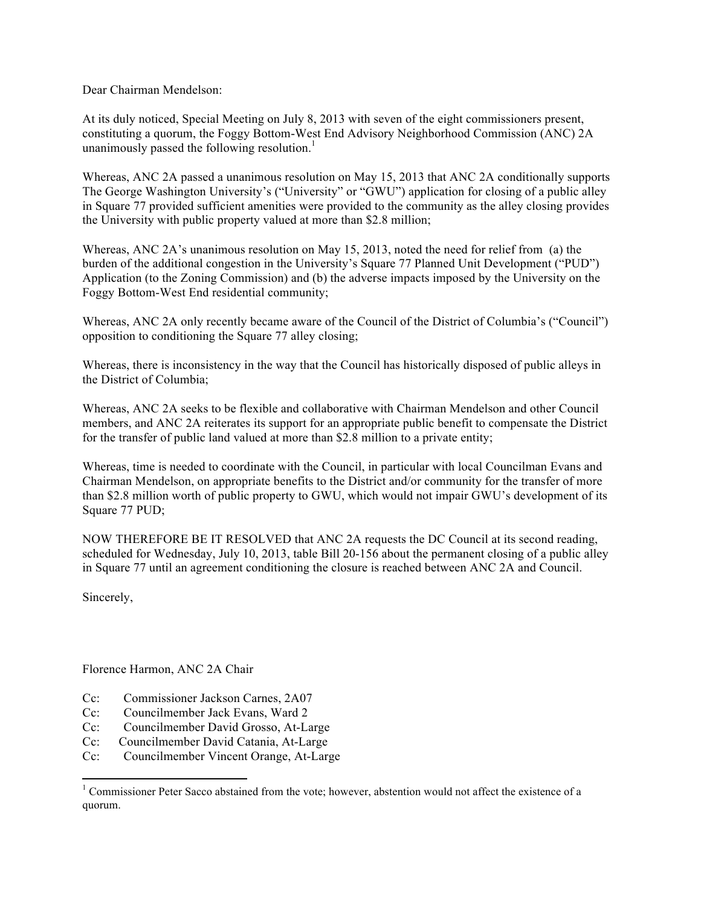Dear Chairman Mendelson:

At its duly noticed, Special Meeting on July 8, 2013 with seven of the eight commissioners present, constituting a quorum, the Foggy Bottom-West End Advisory Neighborhood Commission (ANC) 2A unanimously passed the following resolution.<sup>1</sup>

Whereas, ANC 2A passed a unanimous resolution on May 15, 2013 that ANC 2A conditionally supports The George Washington University's ("University" or "GWU") application for closing of a public alley in Square 77 provided sufficient amenities were provided to the community as the alley closing provides the University with public property valued at more than \$2.8 million;

Whereas, ANC 2A's unanimous resolution on May 15, 2013, noted the need for relief from (a) the burden of the additional congestion in the University's Square 77 Planned Unit Development ("PUD") Application (to the Zoning Commission) and (b) the adverse impacts imposed by the University on the Foggy Bottom-West End residential community;

Whereas, ANC 2A only recently became aware of the Council of the District of Columbia's ("Council") opposition to conditioning the Square 77 alley closing;

Whereas, there is inconsistency in the way that the Council has historically disposed of public alleys in the District of Columbia;

Whereas, ANC 2A seeks to be flexible and collaborative with Chairman Mendelson and other Council members, and ANC 2A reiterates its support for an appropriate public benefit to compensate the District for the transfer of public land valued at more than \$2.8 million to a private entity;

Whereas, time is needed to coordinate with the Council, in particular with local Councilman Evans and Chairman Mendelson, on appropriate benefits to the District and/or community for the transfer of more than \$2.8 million worth of public property to GWU, which would not impair GWU's development of its Square 77 PUD;

NOW THEREFORE BE IT RESOLVED that ANC 2A requests the DC Council at its second reading, scheduled for Wednesday, July 10, 2013, table Bill 20-156 about the permanent closing of a public alley in Square 77 until an agreement conditioning the closure is reached between ANC 2A and Council.

Sincerely,

Florence Harmon, ANC 2A Chair

 

- Cc: Commissioner Jackson Carnes, 2A07
- Cc: Councilmember Jack Evans, Ward 2
- Cc: Councilmember David Grosso, At-Large
- Cc: Councilmember David Catania, At-Large
- Cc: Councilmember Vincent Orange, At-Large

<sup>&</sup>lt;sup>1</sup> Commissioner Peter Sacco abstained from the vote; however, abstention would not affect the existence of a quorum.